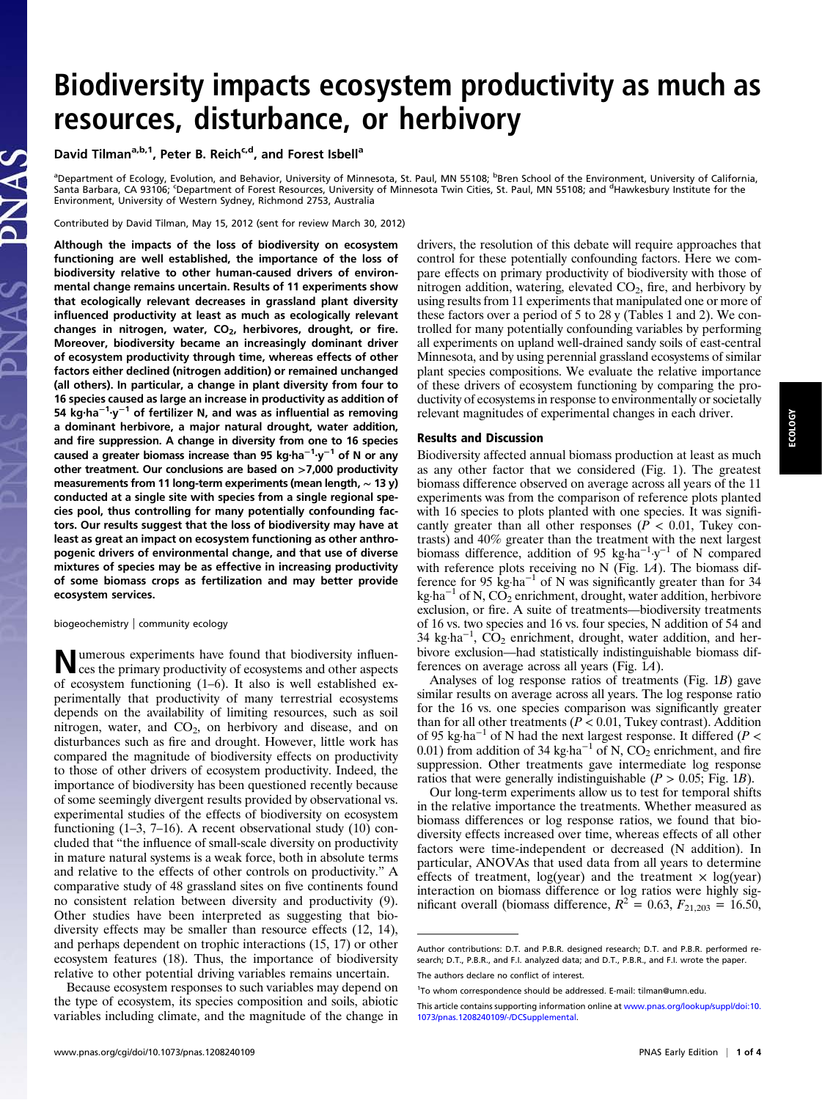# Biodiversity impacts ecosystem productivity as much as resources, disturbance, or herbivory

David Tilman<sup>a,b,1</sup>, Peter B. Reich<sup>c,d</sup>, and Forest Isbell<sup>a</sup>

<sup>a</sup>Department of Ecology, Evolution, and Behavior, University of Minnesota, St. Paul, MN 55108; <sup>b</sup>Bren School of the Environment, University of California, Santa Barbara, CA 93106; <sup>c</sup>Department of Forest Resources, University of Minnesota Twin Cities, St. Paul, MN 55108; and <sup>d</sup>Hawkesbury Institute for the Environment, University of Western Sydney, Richmond 2753, Australia

Contributed by David Tilman, May 15, 2012 (sent for review March 30, 2012)

Although the impacts of the loss of biodiversity on ecosystem functioning are well established, the importance of the loss of biodiversity relative to other human-caused drivers of environmental change remains uncertain. Results of 11 experiments show that ecologically relevant decreases in grassland plant diversity influenced productivity at least as much as ecologically relevant changes in nitrogen, water,  $CO<sub>2</sub>$ , herbivores, drought, or fire. Moreover, biodiversity became an increasingly dominant driver of ecosystem productivity through time, whereas effects of other factors either declined (nitrogen addition) or remained unchanged (all others). In particular, a change in plant diversity from four to 16 species caused as large an increase in productivity as addition of 54 kg·ha<sup>-1</sup>·y<sup>-1</sup> of fertilizer N, and was as influential as removing a dominant herbivore, a major natural drought, water addition, and fire suppression. A change in diversity from one to 16 species caused a greater biomass increase than 95 kg·ha<sup>-1</sup>·y<sup>-1</sup> of N or any other treatment. Our conclusions are based on >7,000 productivity measurements from 11 long-term experiments (mean length, ∼ 13 y) conducted at a single site with species from a single regional species pool, thus controlling for many potentially confounding factors. Our results suggest that the loss of biodiversity may have at least as great an impact on ecosystem functioning as other anthropogenic drivers of environmental change, and that use of diverse mixtures of species may be as effective in increasing productivity of some biomass crops as fertilization and may better provide ecosystem services.

biogeochemistry | community ecology

Numerous experiments have found that biodiversity influen-ces the primary productivity of ecosystems and other aspects of ecosystem functioning (1–6). It also is well established experimentally that productivity of many terrestrial ecosystems depends on the availability of limiting resources, such as soil nitrogen, water, and  $CO<sub>2</sub>$ , on herbivory and disease, and on disturbances such as fire and drought. However, little work has compared the magnitude of biodiversity effects on productivity to those of other drivers of ecosystem productivity. Indeed, the importance of biodiversity has been questioned recently because of some seemingly divergent results provided by observational vs. experimental studies of the effects of biodiversity on ecosystem functioning (1–3, 7–16). A recent observational study (10) concluded that "the influence of small-scale diversity on productivity in mature natural systems is a weak force, both in absolute terms and relative to the effects of other controls on productivity." A comparative study of 48 grassland sites on five continents found no consistent relation between diversity and productivity (9). Other studies have been interpreted as suggesting that biodiversity effects may be smaller than resource effects (12, 14), and perhaps dependent on trophic interactions (15, 17) or other ecosystem features (18). Thus, the importance of biodiversity relative to other potential driving variables remains uncertain.

Because ecosystem responses to such variables may depend on the type of ecosystem, its species composition and soils, abiotic variables including climate, and the magnitude of the change in drivers, the resolution of this debate will require approaches that control for these potentially confounding factors. Here we compare effects on primary productivity of biodiversity with those of nitrogen addition, watering, elevated  $CO<sub>2</sub>$ , fire, and herbivory by using results from 11 experiments that manipulated one or more of these factors over a period of 5 to 28 y (Tables 1 and 2). We controlled for many potentially confounding variables by performing all experiments on upland well-drained sandy soils of east-central Minnesota, and by using perennial grassland ecosystems of similar plant species compositions. We evaluate the relative importance of these drivers of ecosystem functioning by comparing the productivity of ecosystems in response to environmentally or societally relevant magnitudes of experimental changes in each driver.

#### Results and Discussion

Biodiversity affected annual biomass production at least as much as any other factor that we considered (Fig. 1). The greatest biomass difference observed on average across all years of the 11 experiments was from the comparison of reference plots planted with 16 species to plots planted with one species. It was significantly greater than all other responses ( $\overline{P}$  < 0.01, Tukey contrasts) and 40% greater than the treatment with the next largest biomass difference, addition of 95 kg⋅ha<sup>-1</sup>⋅y<sup>-1</sup> of N compared with reference plots receiving no N (Fig.  $1A$ ). The biomass difference for 95 kg⋅ha<sup>-1</sup> of N was significantly greater than for 34 kg⋅ha<sup>-1</sup> of N,  $CO<sub>2</sub>$  enrichment, drought, water addition, herbivore exclusion, or fire. A suite of treatments—biodiversity treatments of 16 vs. two species and 16 vs. four species, N addition of 54 and 34 kg⋅ha<sup>-1</sup>,  $\dot{CO}_2$  enrichment, drought, water addition, and herbivore exclusion—had statistically indistinguishable biomass differences on average across all years (Fig. 1A).

Analyses of log response ratios of treatments (Fig. 1B) gave similar results on average across all years. The log response ratio for the 16 vs. one species comparison was significantly greater than for all other treatments ( $P < 0.01$ , Tukey contrast). Addition of 95 kg⋅ha<sup>-1</sup> of N had the next largest response. It differed ( $P$  < 0.01) from addition of 34 kg⋅ha<sup>-1</sup> of N,  $CO<sub>2</sub>$  enrichment, and fire suppression. Other treatments gave intermediate log response ratios that were generally indistinguishable ( $P > 0.05$ ; Fig. 1B).

Our long-term experiments allow us to test for temporal shifts in the relative importance the treatments. Whether measured as biomass differences or log response ratios, we found that biodiversity effects increased over time, whereas effects of all other factors were time-independent or decreased (N addition). In particular, ANOVAs that used data from all years to determine effects of treatment,  $log(year)$  and the treatment  $\times log(year)$ interaction on biomass difference or log ratios were highly significant overall (biomass difference,  $R^2 = 0.63$ ,  $F_{21,203} = 16.50$ ,

Author contributions: D.T. and P.B.R. designed research; D.T. and P.B.R. performed research; D.T., P.B.R., and F.I. analyzed data; and D.T., P.B.R., and F.I. wrote the paper.

The authors declare no conflict of interest.

<sup>&</sup>lt;sup>1</sup>To whom correspondence should be addressed. E-mail: [tilman@umn.edu](mailto:tilman@umn.edu).

This article contains supporting information online at [www.pnas.org/lookup/suppl/doi:10.](http://www.pnas.org/lookup/suppl/doi:10.1073/pnas.1208240109/-/DCSupplemental) [1073/pnas.1208240109/-/DCSupplemental](http://www.pnas.org/lookup/suppl/doi:10.1073/pnas.1208240109/-/DCSupplemental).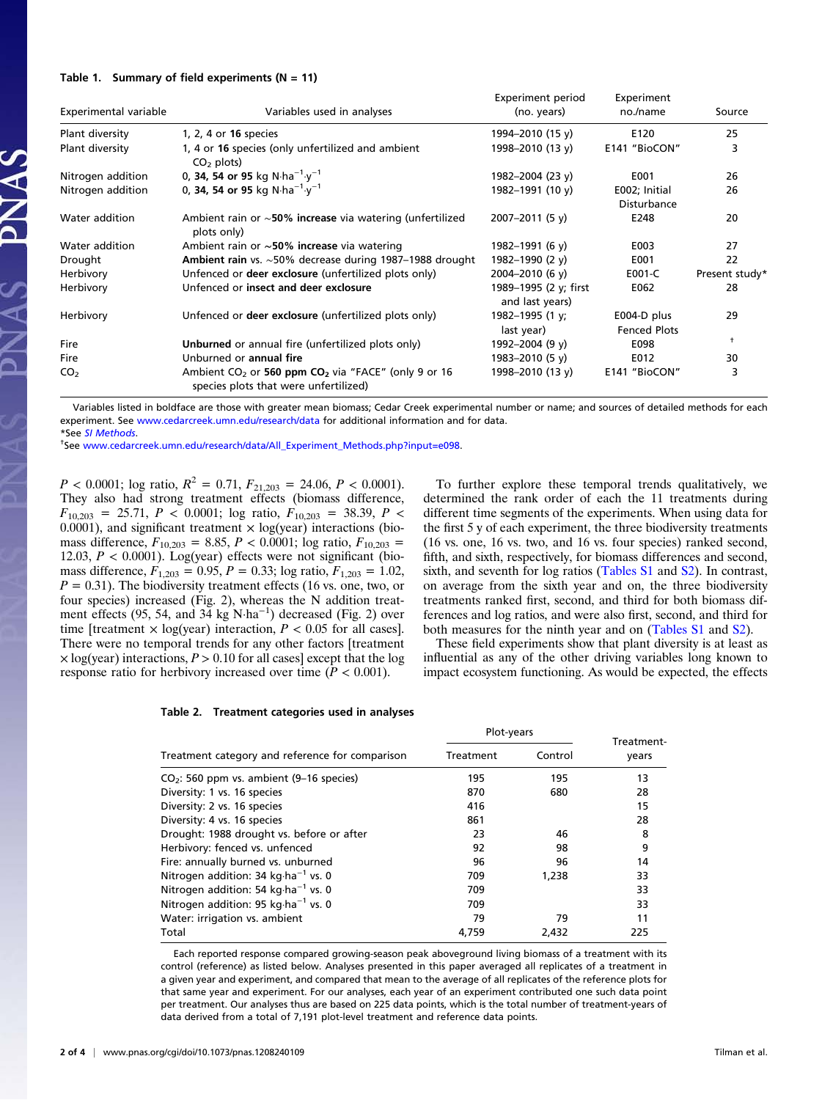#### Table 1. Summary of field experiments ( $N = 11$ )

| Experimental variable | Variables used in analyses                                                                       | Experiment period<br>(no. years)         | Experiment<br>no./name             | Source         |
|-----------------------|--------------------------------------------------------------------------------------------------|------------------------------------------|------------------------------------|----------------|
| Plant diversity       | 1, 2, 4 or 16 species                                                                            | 1994-2010 (15 y)                         | E120                               | 25             |
| Plant diversity       | 1, 4 or 16 species (only unfertilized and ambient<br>$CO2$ plots)                                | 1998-2010 (13 y)                         | E141 "BioCON"                      | 3              |
| Nitrogen addition     | 0, 34, 54 or 95 kg N $\cdot$ ha <sup>-1</sup> $\cdot$ v <sup>-1</sup>                            | 1982-2004 (23 y)                         | E001                               | 26             |
| Nitrogen addition     | 0, 34, 54 or 95 kg N $\cdot$ ha <sup>-1</sup> $\cdot$ v <sup>-1</sup>                            | 1982-1991 (10 y)                         | E002; Initial<br>Disturbance       | 26             |
| Water addition        | Ambient rain or $\sim$ 50% increase via watering (unfertilized<br>plots only)                    | $2007 - 2011$ (5 y)                      | E248                               | 20             |
| Water addition        | Ambient rain or $\sim$ 50% increase via watering                                                 | 1982-1991 (6 y)                          | E003                               | 27             |
| Drought               | Ambient rain vs. ~50% decrease during 1987-1988 drought                                          | 1982-1990 (2 y)                          | E001                               | 22             |
| Herbivory             | Unfenced or <b>deer exclosure</b> (unfertilized plots only)                                      | 2004-2010 (6 y)                          | E001-C                             | Present study* |
| Herbivory             | Unfenced or insect and deer exclosure                                                            | 1989-1995 (2 y; first<br>and last years) | E062                               | 28             |
| Herbivory             | Unfenced or <b>deer exclosure</b> (unfertilized plots only)                                      | 1982-1995 (1 y;<br>last year)            | E004-D plus<br><b>Fenced Plots</b> | 29             |
| Fire                  | Unburned or annual fire (unfertilized plots only)                                                | 1992-2004 (9 y)                          | E098                               | $^+$           |
| Fire                  | Unburned or annual fire                                                                          | 1983-2010 (5 y)                          | E012                               | 30             |
| CO <sub>2</sub>       | Ambient $CO2$ or 560 ppm $CO2$ via "FACE" (only 9 or 16<br>species plots that were unfertilized) | 1998-2010 (13 y)                         | E141 "BioCON"                      | 3              |

Variables listed in boldface are those with greater mean biomass; Cedar Creek experimental number or name; and sources of detailed methods for each experiment. See [www.cedarcreek.umn.edu/research/data](http://www.cedarcreek.umn.edu/research/data) for additional information and for data.

\*See *[SI Methods](http://www.pnas.org/lookup/suppl/doi:10.1073/pnas.1208240109/-/DCSupplemental/pnas.201208240SI.pdf?targetid=nameddest=STXT).*<br><sup>†</sup>See [www.cedarcreek.umn.edu/research/data/All\\_Experiment\\_Methods.php?input=e098](http://www.cedarcreek.umn.edu/research/data/All_Experiment_Methods.php?input=e098).

 $P < 0.0001$ ; log ratio,  $R^2 = 0.71$ ,  $F_{21,203} = 24.06$ ,  $P < 0.0001$ ). They also had strong treatment effects (biomass difference,  $F_{10,203}$  = 25.71,  $P < 0.0001$ ; log ratio,  $F_{10,203}$  = 38.39,  $P <$ 0.0001), and significant treatment  $\times$  log(year) interactions (biomass difference,  $F_{10,203} = 8.85$ ,  $P < 0.0001$ ; log ratio,  $F_{10,203} =$ 12.03,  $P < 0.0001$ ). Log(year) effects were not significant (biomass difference,  $F_{1,203} = 0.95$ ,  $P = 0.33$ ; log ratio,  $F_{1,203} = 1.02$ ,  $P = 0.31$ ). The biodiversity treatment effects (16 vs. one, two, or four species) increased (Fig. 2), whereas the N addition treatment effects (95, 54, and 34 kg N·ha<sup>-1</sup>) decreased (Fig. 2) over time [treatment  $\times$  log(year) interaction,  $P < 0.05$  for all cases]. There were no temporal trends for any other factors [treatment  $\times$  log(year) interactions,  $P > 0.10$  for all cases] except that the log response ratio for herbivory increased over time ( $P < 0.001$ ).

To further explore these temporal trends qualitatively, we determined the rank order of each the 11 treatments during different time segments of the experiments. When using data for the first 5 y of each experiment, the three biodiversity treatments (16 vs. one, 16 vs. two, and 16 vs. four species) ranked second, fifth, and sixth, respectively, for biomass differences and second, sixth, and seventh for log ratios ([Tables S1](http://www.pnas.org/lookup/suppl/doi:10.1073/pnas.1208240109/-/DCSupplemental/pnas.201208240SI.pdf?targetid=nameddest=ST1) and [S2](http://www.pnas.org/lookup/suppl/doi:10.1073/pnas.1208240109/-/DCSupplemental/pnas.201208240SI.pdf?targetid=nameddest=ST2)). In contrast, on average from the sixth year and on, the three biodiversity treatments ranked first, second, and third for both biomass differences and log ratios, and were also first, second, and third for both measures for the ninth year and on [\(Tables S1](http://www.pnas.org/lookup/suppl/doi:10.1073/pnas.1208240109/-/DCSupplemental/pnas.201208240SI.pdf?targetid=nameddest=ST1) and [S2\)](http://www.pnas.org/lookup/suppl/doi:10.1073/pnas.1208240109/-/DCSupplemental/pnas.201208240SI.pdf?targetid=nameddest=ST2).

These field experiments show that plant diversity is at least as influential as any of the other driving variables long known to impact ecosystem functioning. As would be expected, the effects

#### Table 2. Treatment categories used in analyses

|                                                    | Plot-years |         | Treatment- |  |
|----------------------------------------------------|------------|---------|------------|--|
| Treatment category and reference for comparison    | Treatment  | Control | years      |  |
| $CO2$ : 560 ppm vs. ambient (9-16 species)         | 195        | 195     | 13         |  |
| Diversity: 1 vs. 16 species                        | 870        | 680     | 28         |  |
| Diversity: 2 vs. 16 species                        | 416        |         | 15         |  |
| Diversity: 4 vs. 16 species                        | 861        |         | 28         |  |
| Drought: 1988 drought vs. before or after          | 23         | 46      | 8          |  |
| Herbivory: fenced vs. unfenced                     | 92         | 98      | 9          |  |
| Fire: annually burned vs. unburned                 | 96         | 96      | 14         |  |
| Nitrogen addition: 34 $kg$ -ha <sup>-1</sup> vs. 0 | 709        | 1,238   | 33         |  |
| Nitrogen addition: 54 kg ha <sup>-1</sup> vs. 0    | 709        |         | 33         |  |
| Nitrogen addition: 95 kg ha <sup>-1</sup> vs. 0    | 709        |         | 33         |  |
| Water: irrigation vs. ambient                      | 79         | 79      | 11         |  |
| Total                                              | 4.759      | 2.432   | 225        |  |

Each reported response compared growing-season peak aboveground living biomass of a treatment with its control (reference) as listed below. Analyses presented in this paper averaged all replicates of a treatment in a given year and experiment, and compared that mean to the average of all replicates of the reference plots for that same year and experiment. For our analyses, each year of an experiment contributed one such data point per treatment. Our analyses thus are based on 225 data points, which is the total number of treatment-years of data derived from a total of 7,191 plot-level treatment and reference data points.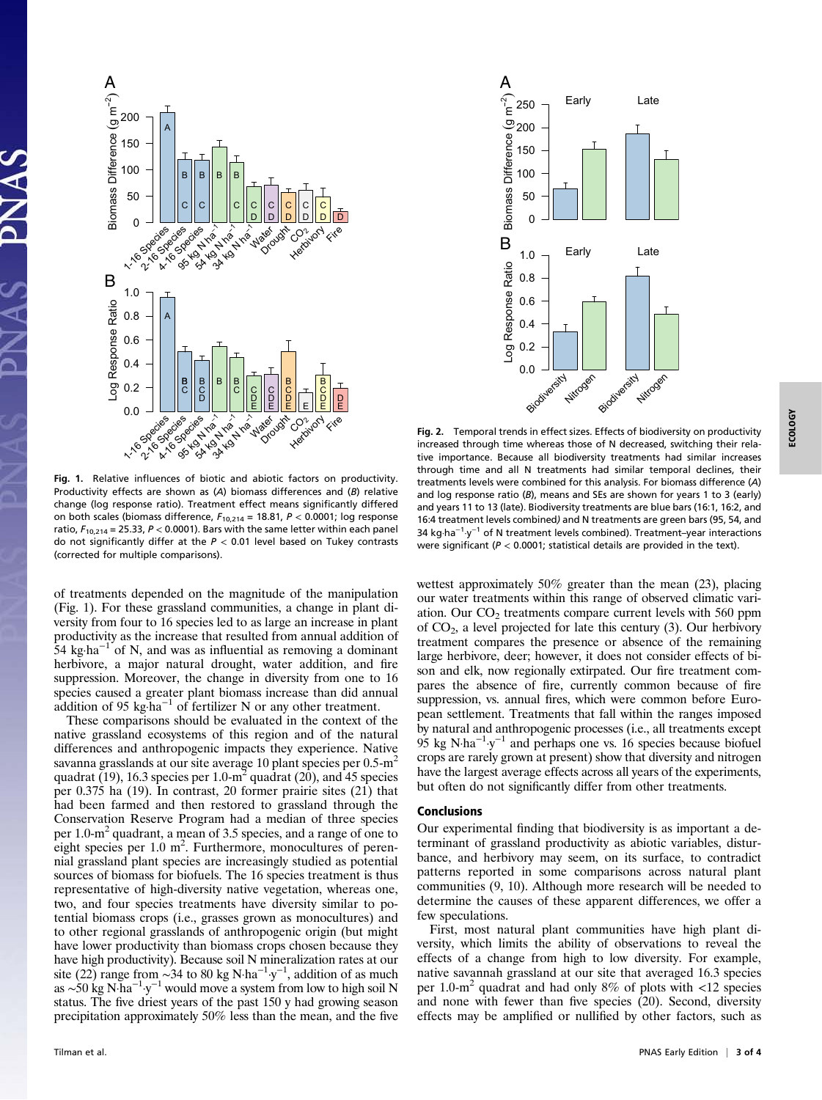

Fig. 1. Relative influences of biotic and abiotic factors on productivity. Productivity effects are shown as (A) biomass differences and (B) relative change (log response ratio). Treatment effect means significantly differed on both scales (biomass difference,  $F_{10,214} = 18.81$ ,  $P < 0.0001$ ; log response ratio,  $F_{10,214}$  = 25.33,  $P < 0.0001$ ). Bars with the same letter within each panel do not significantly differ at the  $P < 0.01$  level based on Tukey contrasts (corrected for multiple comparisons).

of treatments depended on the magnitude of the manipulation (Fig. 1). For these grassland communities, a change in plant diversity from four to 16 species led to as large an increase in plant productivity as the increase that resulted from annual addition of  $54 \text{ kg} \cdot \text{ha}^{-1}$  of N, and was as influential as removing a dominant herbivore, a major natural drought, water addition, and fire suppression. Moreover, the change in diversity from one to 16 species caused a greater plant biomass increase than did annual addition of 95 kg⋅ha<sup>-1</sup> of fertilizer N or any other treatment.

These comparisons should be evaluated in the context of the native grassland ecosystems of this region and of the natural differences and anthropogenic impacts they experience. Native savanna grasslands at our site average 10 plant species per  $0.5 \text{ m}^2$ quadrat (19), 16.3 species per 1.0-m<sup>2</sup> quadrat (20), and 45 species per 0.375 ha (19). In contrast, 20 former prairie sites (21) that had been farmed and then restored to grassland through the Conservation Reserve Program had a median of three species per 1.0-m<sup>2</sup> quadrant, a mean of 3.5 species, and a range of one to eight species per  $1.0 \text{ m}^2$ . Furthermore, monocultures of perennial grassland plant species are increasingly studied as potential sources of biomass for biofuels. The 16 species treatment is thus representative of high-diversity native vegetation, whereas one, two, and four species treatments have diversity similar to potential biomass crops (i.e., grasses grown as monocultures) and to other regional grasslands of anthropogenic origin (but might have lower productivity than biomass crops chosen because they have high productivity). Because soil N mineralization rates at our site (22) range from ~34 to 80 kg N·ha<sup>-1</sup>·y<sup>-1</sup>, addition of as much as ∼50 kg N·ha−<sup>1</sup> ·y <sup>−</sup><sup>1</sup> would move a system from low to high soil N status. The five driest years of the past 150 y had growing season precipitation approximately 50% less than the mean, and the five



Fig. 2. Temporal trends in effect sizes. Effects of biodiversity on productivity increased through time whereas those of N decreased, switching their relative importance. Because all biodiversity treatments had similar increases through time and all N treatments had similar temporal declines, their treatments levels were combined for this analysis. For biomass difference (A) and log response ratio (B), means and SEs are shown for years 1 to 3 (early) and years 11 to 13 (late). Biodiversity treatments are blue bars (16:1, 16:2, and 16:4 treatment levels combined) and N treatments are green bars (95, 54, and 34 kg⋅ha<sup>-1</sup>⋅y<sup>-1</sup> of N treatment levels combined). Treatment-year interactions were significant ( $P < 0.0001$ ; statistical details are provided in the text).

wettest approximately 50% greater than the mean (23), placing our water treatments within this range of observed climatic variation. Our  $CO<sub>2</sub>$  treatments compare current levels with 560 ppm of  $CO<sub>2</sub>$ , a level projected for late this century (3). Our herbivory treatment compares the presence or absence of the remaining large herbivore, deer; however, it does not consider effects of bison and elk, now regionally extirpated. Our fire treatment compares the absence of fire, currently common because of fire suppression, vs. annual fires, which were common before European settlement. Treatments that fall within the ranges imposed by natural and anthropogenic processes (i.e., all treatments except 95 kg N·ha<sup>-1</sup>·y<sup>-1</sup> and perhaps one vs. 16 species because biofuel crops are rarely grown at present) show that diversity and nitrogen have the largest average effects across all years of the experiments, but often do not significantly differ from other treatments.

#### Conclusions

Our experimental finding that biodiversity is as important a determinant of grassland productivity as abiotic variables, disturbance, and herbivory may seem, on its surface, to contradict patterns reported in some comparisons across natural plant communities (9, 10). Although more research will be needed to determine the causes of these apparent differences, we offer a few speculations.

First, most natural plant communities have high plant diversity, which limits the ability of observations to reveal the effects of a change from high to low diversity. For example, native savannah grassland at our site that averaged 16.3 species per 1.0-m<sup>2</sup> quadrat and had only 8% of plots with  $\langle$ 12 species and none with fewer than five species (20). Second, diversity effects may be amplified or nullified by other factors, such as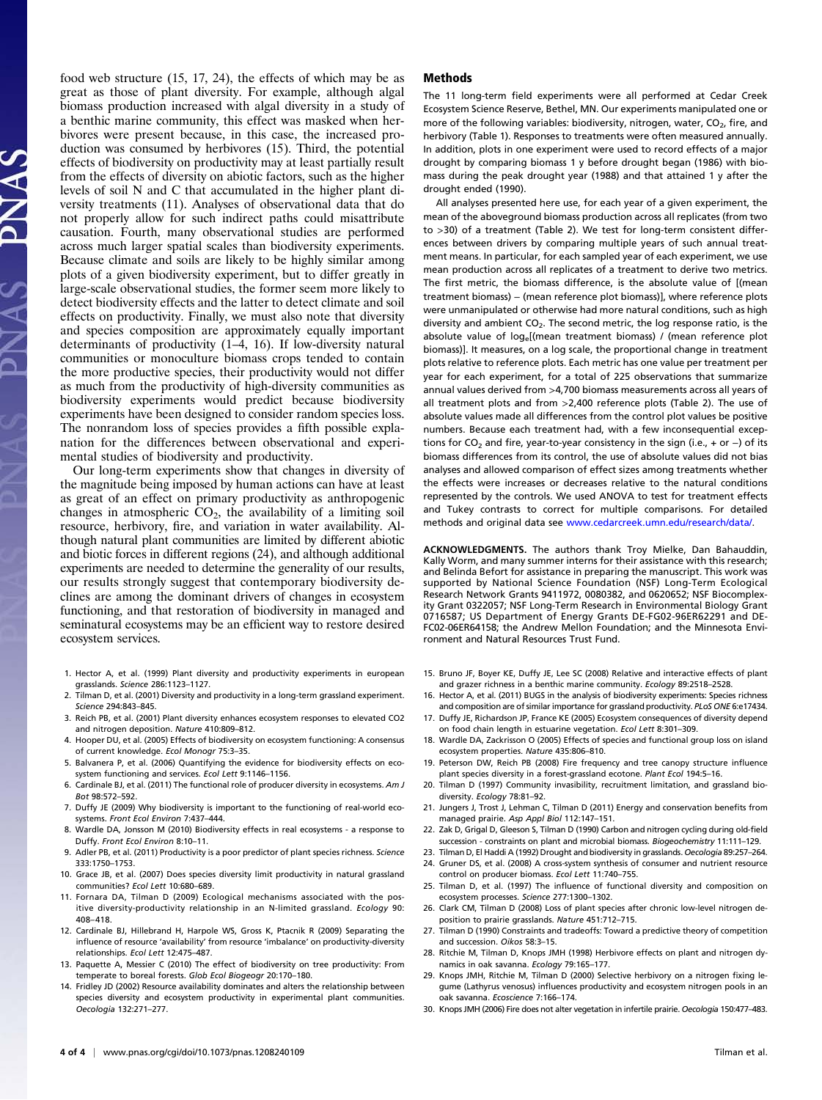food web structure (15, 17, 24), the effects of which may be as great as those of plant diversity. For example, although algal biomass production increased with algal diversity in a study of a benthic marine community, this effect was masked when herbivores were present because, in this case, the increased production was consumed by herbivores (15). Third, the potential effects of biodiversity on productivity may at least partially result from the effects of diversity on abiotic factors, such as the higher levels of soil N and C that accumulated in the higher plant diversity treatments (11). Analyses of observational data that do not properly allow for such indirect paths could misattribute causation. Fourth, many observational studies are performed across much larger spatial scales than biodiversity experiments. Because climate and soils are likely to be highly similar among plots of a given biodiversity experiment, but to differ greatly in large-scale observational studies, the former seem more likely to detect biodiversity effects and the latter to detect climate and soil effects on productivity. Finally, we must also note that diversity and species composition are approximately equally important determinants of productivity (1–4, 16). If low-diversity natural communities or monoculture biomass crops tended to contain the more productive species, their productivity would not differ as much from the productivity of high-diversity communities as biodiversity experiments would predict because biodiversity experiments have been designed to consider random species loss. The nonrandom loss of species provides a fifth possible explanation for the differences between observational and experimental studies of biodiversity and productivity.

Our long-term experiments show that changes in diversity of the magnitude being imposed by human actions can have at least as great of an effect on primary productivity as anthropogenic changes in atmospheric  $CO<sub>2</sub>$ , the availability of a limiting soil resource, herbivory, fire, and variation in water availability. Although natural plant communities are limited by different abiotic and biotic forces in different regions (24), and although additional experiments are needed to determine the generality of our results, our results strongly suggest that contemporary biodiversity declines are among the dominant drivers of changes in ecosystem functioning, and that restoration of biodiversity in managed and seminatural ecosystems may be an efficient way to restore desired ecosystem services.

- 1. Hector A, et al. (1999) Plant diversity and productivity experiments in european grasslands. Science 286:1123–1127.
- 2. Tilman D, et al. (2001) Diversity and productivity in a long-term grassland experiment. Science 294:843–845.
- 3. Reich PB, et al. (2001) Plant diversity enhances ecosystem responses to elevated CO2 and nitrogen deposition. Nature 410:809–812.
- 4. Hooper DU, et al. (2005) Effects of biodiversity on ecosystem functioning: A consensus of current knowledge. Ecol Monogr 75:3–35.
- 5. Balvanera P, et al. (2006) Quantifying the evidence for biodiversity effects on ecosystem functioning and services. Ecol Lett 9:1146–1156.
- 6. Cardinale BJ, et al. (2011) The functional role of producer diversity in ecosystems. Am J Bot 98:572–592.
- 7. Duffy JE (2009) Why biodiversity is important to the functioning of real-world ecosystems. Front Ecol Environ 7:437–444.
- 8. Wardle DA, Jonsson M (2010) Biodiversity effects in real ecosystems a response to Duffy. Front Ecol Environ 8:10–11.
- 9. Adler PB, et al. (2011) Productivity is a poor predictor of plant species richness. Science 333:1750–1753.
- 10. Grace JB, et al. (2007) Does species diversity limit productivity in natural grassland communities? Ecol Lett 10:680–689.
- 11. Fornara DA, Tilman D (2009) Ecological mechanisms associated with the positive diversity-productivity relationship in an N-limited grassland. Ecology 90: 408–418.
- 12. Cardinale BJ, Hillebrand H, Harpole WS, Gross K, Ptacnik R (2009) Separating the influence of resource 'availability' from resource 'imbalance' on productivity-diversity relationships. Ecol Lett 12:475–487.
- 13. Paquette A, Messier C (2010) The effect of biodiversity on tree productivity: From temperate to boreal forests. Glob Ecol Biogeogr 20:170–180.
- 14. Fridley JD (2002) Resource availability dominates and alters the relationship between species diversity and ecosystem productivity in experimental plant communities. Oecologia 132:271–277.

#### Methods

The 11 long-term field experiments were all performed at Cedar Creek Ecosystem Science Reserve, Bethel, MN. Our experiments manipulated one or more of the following variables: biodiversity, nitrogen, water,  $CO<sub>2</sub>$ , fire, and herbivory (Table 1). Responses to treatments were often measured annually. In addition, plots in one experiment were used to record effects of a major drought by comparing biomass 1 y before drought began (1986) with biomass during the peak drought year (1988) and that attained 1 y after the drought ended (1990).

All analyses presented here use, for each year of a given experiment, the mean of the aboveground biomass production across all replicates (from two to >30) of a treatment (Table 2). We test for long-term consistent differences between drivers by comparing multiple years of such annual treatment means. In particular, for each sampled year of each experiment, we use mean production across all replicates of a treatment to derive two metrics. The first metric, the biomass difference, is the absolute value of [(mean treatment biomass) – (mean reference plot biomass)], where reference plots were unmanipulated or otherwise had more natural conditions, such as high diversity and ambient  $CO<sub>2</sub>$ . The second metric, the log response ratio, is the absolute value of log<sub>e</sub>[(mean treatment biomass) / (mean reference plot biomass)]. It measures, on a log scale, the proportional change in treatment plots relative to reference plots. Each metric has one value per treatment per year for each experiment, for a total of 225 observations that summarize annual values derived from >4,700 biomass measurements across all years of all treatment plots and from >2,400 reference plots (Table 2). The use of absolute values made all differences from the control plot values be positive numbers. Because each treatment had, with a few inconsequential exceptions for  $CO_2$  and fire, year-to-year consistency in the sign (i.e., + or -) of its biomass differences from its control, the use of absolute values did not bias analyses and allowed comparison of effect sizes among treatments whether the effects were increases or decreases relative to the natural conditions represented by the controls. We used ANOVA to test for treatment effects and Tukey contrasts to correct for multiple comparisons. For detailed methods and original data see <www.cedarcreek.umn.edu/research/data/>.

ACKNOWLEDGMENTS. The authors thank Troy Mielke, Dan Bahauddin, Kally Worm, and many summer interns for their assistance with this research; and Belinda Befort for assistance in preparing the manuscript. This work was supported by National Science Foundation (NSF) Long-Term Ecological Research Network Grants 9411972, 0080382, and 0620652; NSF Biocomplexity Grant 0322057; NSF Long-Term Research in Environmental Biology Grant 0716587; US Department of Energy Grants DE-FG02-96ER62291 and DE-FC02-06ER64158; the Andrew Mellon Foundation; and the Minnesota Environment and Natural Resources Trust Fund.

- 15. Bruno JF, Boyer KE, Duffy JE, Lee SC (2008) Relative and interactive effects of plant and grazer richness in a benthic marine community. Ecology 89:2518–2528.
- 16. Hector A, et al. (2011) BUGS in the analysis of biodiversity experiments: Species richness and composition are of similar importance for grassland productivity. PLoS ONE 6:e17434.
- 17. Duffy JE, Richardson JP, France KE (2005) Ecosystem consequences of diversity depend on food chain length in estuarine vegetation. Ecol Lett 8:301–309.
- 18. Wardle DA, Zackrisson O (2005) Effects of species and functional group loss on island ecosystem properties. Nature 435:806–810.
- 19. Peterson DW, Reich PB (2008) Fire frequency and tree canopy structure influence plant species diversity in a forest-grassland ecotone. Plant Ecol 194:5–16.
- 20. Tilman D (1997) Community invasibility, recruitment limitation, and grassland biodiversity. Ecology 78:81–92.
- 21. Jungers J, Trost J, Lehman C, Tilman D (2011) Energy and conservation benefits from managed prairie. Asp Appl Biol 112:147–151.
- 22. Zak D, Grigal D, Gleeson S, Tilman D (1990) Carbon and nitrogen cycling during old-field succession - constraints on plant and microbial biomass. Biogeochemistry 11:111–129.
- 23. Tilman D, El Haddi A (1992) Drought and biodiversity in grasslands. Oecologia 89:257–264.
- 24. Gruner DS, et al. (2008) A cross-system synthesis of consumer and nutrient resource control on producer biomass. Ecol Lett 11:740–755.
- 25. Tilman D, et al. (1997) The influence of functional diversity and composition on ecosystem processes. Science 277:1300–1302.
- 26. Clark CM, Tilman D (2008) Loss of plant species after chronic low-level nitrogen deposition to prairie grasslands. Nature 451:712–715.
- 27. Tilman D (1990) Constraints and tradeoffs: Toward a predictive theory of competition and succession. Oikos 58:3–15.
- 28. Ritchie M, Tilman D, Knops JMH (1998) Herbivore effects on plant and nitrogen dynamics in oak savanna. Ecology 79:165–177.
- 29. Knops JMH, Ritchie M, Tilman D (2000) Selective herbivory on a nitrogen fixing legume (Lathyrus venosus) influences productivity and ecosystem nitrogen pools in an oak savanna. Ecoscience 7:166–174.
- 30. Knops JMH (2006) Fire does not alter vegetation in infertile prairie. Oecologia 150:477–483.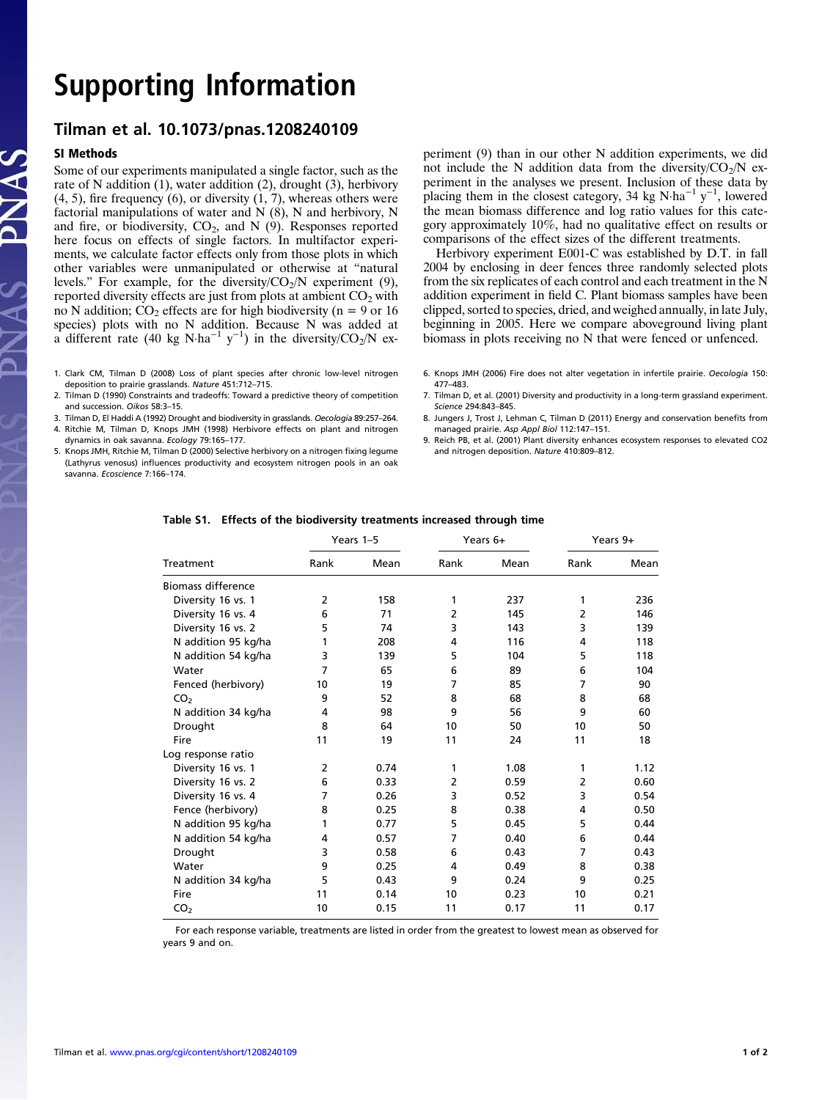# Supporting Information

## Tilman et al. 10.1073/pnas.1208240109

### SI Methods

PNAS

Some of our experiments manipulated a single factor, such as the rate of N addition (1), water addition (2), drought (3), herbivory  $(4, 5)$ , fire frequency  $(6)$ , or diversity  $(1, 7)$ , whereas others were factorial manipulations of water and N (8), N and herbivory, N and fire, or biodiversity,  $CO<sub>2</sub>$ , and N (9). Responses reported here focus on effects of single factors. In multifactor experiments, we calculate factor effects only from those plots in which other variables were unmanipulated or otherwise at "natural levels." For example, for the diversity/ $CO<sub>2</sub>/N$  experiment (9), reported diversity effects are just from plots at ambient  $CO<sub>2</sub>$  with no N addition;  $CO_2$  effects are for high biodiversity (n = 9 or 16 species) plots with no N addition. Because N was added at a different rate (40 kg N·ha<sup>-1</sup> y<sup>-1</sup>) in the diversity/CO<sub>2</sub>/N ex-

- 1. Clark CM, Tilman D (2008) Loss of plant species after chronic low-level nitrogen deposition to prairie grasslands. Nature 451:712–715.
- 2. Tilman D (1990) Constraints and tradeoffs: Toward a predictive theory of competition and succession. Oikos 58:3–15.
- 3. Tilman D, El Haddi A (1992) Drought and biodiversity in grasslands. Oecologia 89:257–264. 4. Ritchie M, Tilman D, Knops JMH (1998) Herbivore effects on plant and nitrogen dynamics in oak savanna. Ecology 79:165–177.
- 5. Knops JMH, Ritchie M, Tilman D (2000) Selective herbivory on a nitrogen fixing legume (Lathyrus venosus) influences productivity and ecosystem nitrogen pools in an oak savanna. Ecoscience 7:166–174.

periment (9) than in our other N addition experiments, we did not include the N addition data from the diversity/ $CO<sub>2</sub>/N$  experiment in the analyses we present. Inclusion of these data by placing them in the closest category, 34 kg N·ha<sup>-1</sup> y<sup>-1</sup>, lowered the mean biomass difference and log ratio values for this category approximately 10%, had no qualitative effect on results or comparisons of the effect sizes of the different treatments.

Herbivory experiment E001-C was established by D.T. in fall 2004 by enclosing in deer fences three randomly selected plots from the six replicates of each control and each treatment in the N addition experiment in field C. Plant biomass samples have been clipped, sorted to species, dried, and weighed annually, in late July, beginning in 2005. Here we compare aboveground living plant biomass in plots receiving no N that were fenced or unfenced.

- 6. Knops JMH (2006) Fire does not alter vegetation in infertile prairie. Oecologia 150: 477–483.
- 7. Tilman D, et al. (2001) Diversity and productivity in a long-term grassland experiment. Science 294:843–845.
- 8. Jungers J, Trost J, Lehman C, Tilman D (2011) Energy and conservation benefits from managed prairie. Asp Appl Biol 112:147–151.
- 9. Reich PB, et al. (2001) Plant diversity enhances ecosystem responses to elevated CO2 and nitrogen deposition. Nature 410:809–812.

### Table S1. Effects of the biodiversity treatments increased through time

|                           | Years 1-5      |      | Years 6+ |      | Years $9+$     |      |
|---------------------------|----------------|------|----------|------|----------------|------|
| Treatment                 | Rank           | Mean | Rank     | Mean | Rank           | Mean |
| <b>Biomass difference</b> |                |      |          |      |                |      |
| Diversity 16 vs. 1        | $\overline{2}$ | 158  | 1        | 237  | 1              | 236  |
| Diversity 16 vs. 4        | 6              | 71   | 2        | 145  | $\overline{2}$ | 146  |
| Diversity 16 vs. 2        | 5              | 74   | 3        | 143  | 3              | 139  |
| N addition 95 kg/ha       | 1              | 208  | 4        | 116  | 4              | 118  |
| N addition 54 kg/ha       | 3              | 139  | 5        | 104  | 5              | 118  |
| Water                     | $\overline{7}$ | 65   | 6        | 89   | 6              | 104  |
| Fenced (herbivory)        | 10             | 19   | 7        | 85   | 7              | 90   |
| CO <sub>2</sub>           | 9              | 52   | 8        | 68   | 8              | 68   |
| N addition 34 kg/ha       | 4              | 98   | 9        | 56   | 9              | 60   |
| Drought                   | 8              | 64   | 10       | 50   | 10             | 50   |
| Fire                      | 11             | 19   | 11       | 24   | 11             | 18   |
| Log response ratio        |                |      |          |      |                |      |
| Diversity 16 vs. 1        | 2              | 0.74 | 1        | 1.08 | 1              | 1.12 |
| Diversity 16 vs. 2        | 6              | 0.33 | 2        | 0.59 | $\overline{2}$ | 0.60 |
| Diversity 16 vs. 4        | 7              | 0.26 | 3        | 0.52 | 3              | 0.54 |
| Fence (herbivory)         | 8              | 0.25 | 8        | 0.38 | 4              | 0.50 |
| N addition 95 kg/ha       | 1              | 0.77 | 5        | 0.45 | 5              | 0.44 |
| N addition 54 kg/ha       | 4              | 0.57 | 7        | 0.40 | 6              | 0.44 |
| Drought                   | 3              | 0.58 | 6        | 0.43 | 7              | 0.43 |
| Water                     | 9              | 0.25 | 4        | 0.49 | 8              | 0.38 |
| N addition 34 kg/ha       | 5              | 0.43 | 9        | 0.24 | 9              | 0.25 |
| Fire                      | 11             | 0.14 | 10       | 0.23 | 10             | 0.21 |
| CO <sub>2</sub>           | 10             | 0.15 | 11       | 0.17 | 11             | 0.17 |

For each response variable, treatments are listed in order from the greatest to lowest mean as observed for years 9 and on.